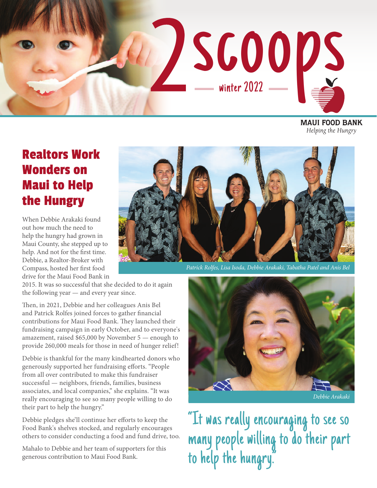

**MAUI FOOD BANK** Helping the Hungry

### Realtors Work Wonders on Maui to Help the Hungry

When Debbie Arakaki found out how much the need to help the hungry had grown in Maui County, she stepped up to help. And not for the first time. Debbie, a Realtor-Broker with Compass, hosted her first food drive for the Maui Food Bank in



*Patrick Rolfes, Lisa Isoda, Debbie Arakaki, Tabatha Patel and Anis Bel*

2015. It was so successful that she decided to do it again the following year — and every year since.

Then, in 2021, Debbie and her colleagues Anis Bel and Patrick Rolfes joined forces to gather financial contributions for Maui Food Bank. They launched their fundraising campaign in early October, and to everyone's amazement, raised \$65,000 by November 5 — enough to provide 260,000 meals for those in need of hunger relief!

Debbie is thankful for the many kindhearted donors who generously supported her fundraising efforts. "People from all over contributed to make this fundraiser successful — neighbors, friends, families, business associates, and local companies," she explains. "It was really encouraging to see so many people willing to do their part to help the hungry."

Debbie pledges she'll continue her efforts to keep the Food Bank's shelves stocked, and regularly encourages others to consider conducting a food and fund drive, too.

Mahalo to Debbie and her team of supporters for this generous contribution to Maui Food Bank.



*Debbie Arakaki*

"It was really encouraging to see so many people willing to do their part to help the hungry."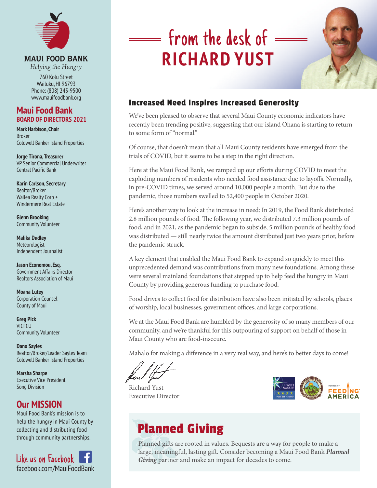

#### **MAUI FOOD BANK**

Helping the Hungry

760 Kolu Street Wailuku, HI 96793 Phone: (808) 243-9500 www.mauifoodbank.org

#### **Maui Food Bank BOARD OF DIRECTORS 2021**

**Mark Harbison, Chair** Broker Coldwell Banker Island Properties

**Jorge Tirona, Treasurer** VP Senior Commercial Underwriter Central Pacific Bank

**Karin Carlson, Secretary** Realtor/Broker Wailea Realty Corp + Windermere Real Estate

**Glenn Brooking**  Community Volunteer

**Malika Dudley** Meteorologist Independent Journalist

**Jason Economou, Esq.** Government Affairs Director Realtors Association of Maui

**Moana Lutey** Corporation Counsel County of Maui

**Greg Pick** VICFCU Community Volunteer

**Dano Sayles**  Realtor/Broker/Leader Sayles Team Coldwell Banker Island Properties

**Marsha Sharpe** Executive Vice President Song Division

#### **Our MISSION**

Maui Food Bank's mission is to help the hungry in Maui County by collecting and distributing food through community partnerships.

Like us on Facebook facebook.com/MauiFoodBank

# **Som the desk of RICHARD YUST**



#### Increased Need Inspires Increased Generosity

We've been pleased to observe that several Maui County economic indicators have recently been trending positive, suggesting that our island Ohana is starting to return to some form of "normal."

Of course, that doesn't mean that all Maui County residents have emerged from the trials of COVID, but it seems to be a step in the right direction.

Here at the Maui Food Bank, we ramped up our efforts during COVID to meet the exploding numbers of residents who needed food assistance due to layoffs. Normally, in pre-COVID times, we served around 10,000 people a month. But due to the pandemic, those numbers swelled to 52,400 people in October 2020.

Here's another way to look at the increase in need: In 2019, the Food Bank distributed 2.8 million pounds of food. The following year, we distributed 7.3 million pounds of food, and in 2021, as the pandemic began to subside, 5 million pounds of healthy food was distributed — still nearly twice the amount distributed just two years prior, before the pandemic struck.

A key element that enabled the Maui Food Bank to expand so quickly to meet this unprecedented demand was contributions from many new foundations. Among these were several mainland foundations that stepped up to help feed the hungry in Maui County by providing generous funding to purchase food.

Food drives to collect food for distribution have also been initiated by schools, places of worship, local businesses, government offices, and large corporations.

We at the Maui Food Bank are humbled by the generosity of so many members of our community, and we're thankful for this outpouring of support on behalf of those in Maui County who are food-insecure.

Mahalo for making a difference in a very real way, and here's to better days to come!

Richard Yust Executive Director



# Planned Giving

Planned gifts are rooted in values. Bequests are a way for people to make a large, meaningful, lasting gift. Consider becoming a Maui Food Bank *Planned*  Giving partner and make an impact for decades to come.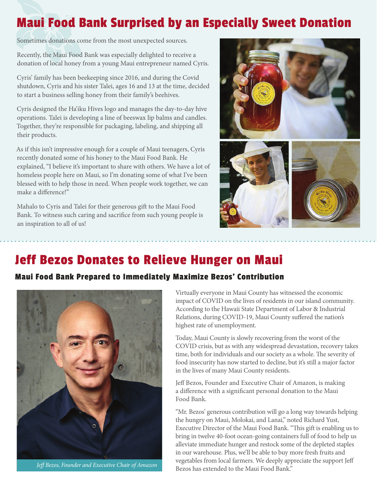## Maui Food Bank Surprised by an Especially Sweet Donation

Sometimes donations come from the most unexpected sources.

Recently, the Maui Food Bank was especially delighted to receive a donation of local honey from a young Maui entrepreneur named Cyris.

Cyris' family has been beekeeping since 2016, and during the Covid shutdown, Cyris and his sister Talei, ages 16 and 13 at the time, decided to start a business selling honey from their family's beehives.

Cyris designed the Ha'iku Hives logo and manages the day-to-day hive operations. Talei is developing a line of beeswax lip balms and candles. Together, they're responsible for packaging, labeling, and shipping all their products.

As if this isn't impressive enough for a couple of Maui teenagers, Cyris recently donated some of his honey to the Maui Food Bank. He explained, "I believe it's important to share with others. We have a lot of homeless people here on Maui, so I'm donating some of what I've been blessed with to help those in need. When people work together, we can make a difference!"

Mahalo to Cyris and Talei for their generous gift to the Maui Food Bank. To witness such caring and sacrifice from such young people is an inspiration to all of us!



### Jeff Bezos Donates to Relieve Hunger on Maui

#### Maui Food Bank Prepared to Immediately Maximize Bezos' Contribution



*Jeff Bezos, Founder and Executive Chair of Amazon*

Virtually everyone in Maui County has witnessed the economic impact of COVID on the lives of residents in our island community. According to the Hawaii State Department of Labor & Industrial Relations, during COVID-19, Maui County suffered the nation's highest rate of unemployment.

Today, Maui County is slowly recovering from the worst of the COVID crisis, but as with any widespread devastation, recovery takes time, both for individuals and our society as a whole. The severity of food insecurity has now started to decline, but it's still a major factor in the lives of many Maui County residents.

Jeff Bezos, Founder and Executive Chair of Amazon, is making a difference with a significant personal donation to the Maui Food Bank.

"Mr. Bezos' generous contribution will go a long way towards helping the hungry on Maui, Molokai, and Lanai," noted Richard Yust, Executive Director of the Maui Food Bank. "This gift is enabling us to bring in twelve 40-foot ocean-going containers full of food to help us alleviate immediate hunger and restock some of the depleted staples in our warehouse. Plus, we'll be able to buy more fresh fruits and vegetables from local farmers. We deeply appreciate the support Jeff Bezos has extended to the Maui Food Bank."